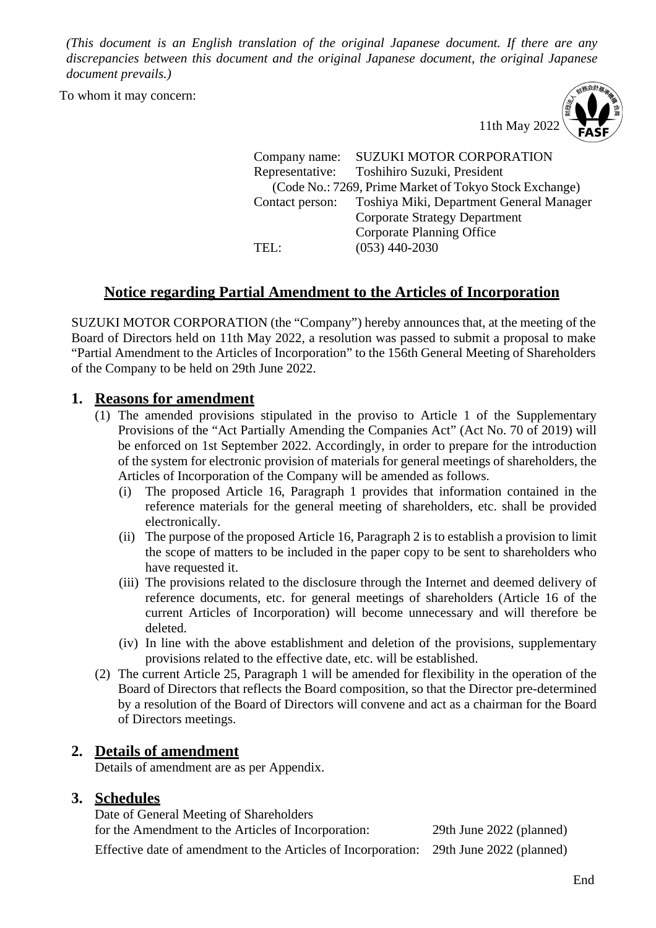*(This document is an English translation of the original Japanese document. If there are any discrepancies between this document and the original Japanese document, the original Japanese document prevails.)* 

To whom it may concern:



Company name: SUZUKI MOTOR CORPORATION Representative: Toshihiro Suzuki, President (Code No.: 7269, Prime Market of Tokyo Stock Exchange) Contact person: Toshiya Miki, Department General Manager Corporate Strategy Department Corporate Planning Office TEL: (053) 440-2030

## **Notice regarding Partial Amendment to the Articles of Incorporation**

SUZUKI MOTOR CORPORATION (the "Company") hereby announces that, at the meeting of the Board of Directors held on 11th May 2022, a resolution was passed to submit a proposal to make "Partial Amendment to the Articles of Incorporation" to the 156th General Meeting of Shareholders of the Company to be held on 29th June 2022.

## **1. Reasons for amendment**

- (1) The amended provisions stipulated in the proviso to Article 1 of the Supplementary Provisions of the "Act Partially Amending the Companies Act" (Act No. 70 of 2019) will be enforced on 1st September 2022. Accordingly, in order to prepare for the introduction of the system for electronic provision of materials for general meetings of shareholders, the Articles of Incorporation of the Company will be amended as follows.
	- (i) The proposed Article 16, Paragraph 1 provides that information contained in the reference materials for the general meeting of shareholders, etc. shall be provided electronically.
	- (ii) The purpose of the proposed Article 16, Paragraph 2 is to establish a provision to limit the scope of matters to be included in the paper copy to be sent to shareholders who have requested it.
	- (iii) The provisions related to the disclosure through the Internet and deemed delivery of reference documents, etc. for general meetings of shareholders (Article 16 of the current Articles of Incorporation) will become unnecessary and will therefore be deleted.
	- (iv) In line with the above establishment and deletion of the provisions, supplementary provisions related to the effective date, etc. will be established.
- (2) The current Article 25, Paragraph 1 will be amended for flexibility in the operation of the Board of Directors that reflects the Board composition, so that the Director pre-determined by a resolution of the Board of Directors will convene and act as a chairman for the Board of Directors meetings.

## **2. Details of amendment**

Details of amendment are as per Appendix.

## **3. Schedules**

Date of General Meeting of Shareholders for the Amendment to the Articles of Incorporation: 29th June 2022 (planned)

Effective date of amendment to the Articles of Incorporation: 29th June 2022 (planned)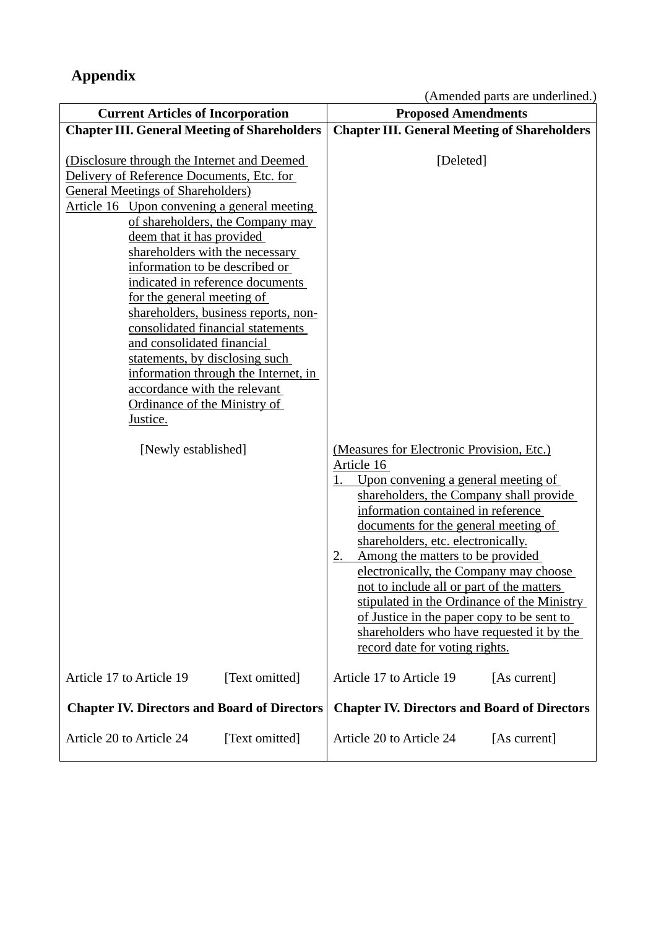(Amended parts are underlined.)

| <b>Current Articles of Incorporation</b>                                                                                                                                                                                                                                                                                                                                                                                                                                                                                                                                                                                                                       | <b>Proposed Amendments</b>                                                                                                                                                                                                                                                                                                                                                                                                                                                                                                                                                       |
|----------------------------------------------------------------------------------------------------------------------------------------------------------------------------------------------------------------------------------------------------------------------------------------------------------------------------------------------------------------------------------------------------------------------------------------------------------------------------------------------------------------------------------------------------------------------------------------------------------------------------------------------------------------|----------------------------------------------------------------------------------------------------------------------------------------------------------------------------------------------------------------------------------------------------------------------------------------------------------------------------------------------------------------------------------------------------------------------------------------------------------------------------------------------------------------------------------------------------------------------------------|
| <b>Chapter III. General Meeting of Shareholders</b>                                                                                                                                                                                                                                                                                                                                                                                                                                                                                                                                                                                                            | <b>Chapter III. General Meeting of Shareholders</b>                                                                                                                                                                                                                                                                                                                                                                                                                                                                                                                              |
| (Disclosure through the Internet and Deemed)<br>Delivery of Reference Documents, Etc. for<br><b>General Meetings of Shareholders</b> )<br>Article 16 Upon convening a general meeting<br>of shareholders, the Company may<br>deem that it has provided<br>shareholders with the necessary<br>information to be described or<br>indicated in reference documents<br>for the general meeting of<br>shareholders, business reports, non-<br>consolidated financial statements<br>and consolidated financial<br>statements, by disclosing such<br>information through the Internet, in<br>accordance with the relevant<br>Ordinance of the Ministry of<br>Justice. | [Deleted]                                                                                                                                                                                                                                                                                                                                                                                                                                                                                                                                                                        |
| [Newly established]                                                                                                                                                                                                                                                                                                                                                                                                                                                                                                                                                                                                                                            | (Measures for Electronic Provision, Etc.)<br>Article 16<br>Upon convening a general meeting of<br>1.<br>shareholders, the Company shall provide<br>information contained in reference<br>documents for the general meeting of<br>shareholders, etc. electronically.<br>Among the matters to be provided<br>2.<br>electronically, the Company may choose<br>not to include all or part of the matters<br>stipulated in the Ordinance of the Ministry<br>of Justice in the paper copy to be sent to<br>shareholders who have requested it by the<br>record date for voting rights. |
| Article 17 to Article 19<br>[Text omitted]                                                                                                                                                                                                                                                                                                                                                                                                                                                                                                                                                                                                                     | Article 17 to Article 19<br>[As current]                                                                                                                                                                                                                                                                                                                                                                                                                                                                                                                                         |
| <b>Chapter IV. Directors and Board of Directors</b>                                                                                                                                                                                                                                                                                                                                                                                                                                                                                                                                                                                                            | <b>Chapter IV. Directors and Board of Directors</b>                                                                                                                                                                                                                                                                                                                                                                                                                                                                                                                              |
| Article 20 to Article 24<br>[Text omitted]                                                                                                                                                                                                                                                                                                                                                                                                                                                                                                                                                                                                                     | Article 20 to Article 24<br>[As current]                                                                                                                                                                                                                                                                                                                                                                                                                                                                                                                                         |